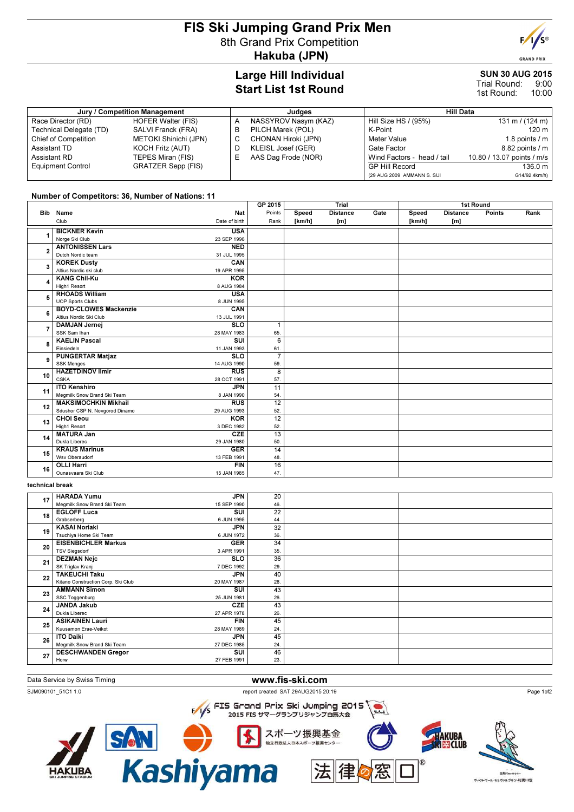# FIS Ski Jumping Grand Prix Men 8th Grand Prix Competition Hakuba (JPN)



#### SUN 30 AUG 2015 9:00 10:00 Trial Round: 1st Round:

| Jury / Competition Management |                              |  | Judaes               | <b>Hill Data</b>           |                            |  |  |
|-------------------------------|------------------------------|--|----------------------|----------------------------|----------------------------|--|--|
| Race Director (RD)            | <b>HOFER Walter (FIS)</b>    |  | NASSYROV Nasym (KAZ) | Hill Size HS / (95%)       | 131 m / $(124 m)$          |  |  |
| Technical Delegate (TD)       | SALVI Franck (FRA)           |  | PILCH Marek (POL)    | K-Point                    | 120 m                      |  |  |
| Chief of Competition          | <b>METOKI Shinichi (JPN)</b> |  | CHONAN Hiroki (JPN)  | Meter Value                | 1.8 points $\sqrt{m}$      |  |  |
| Assistant TD                  | <b>KOCH Fritz (AUT)</b>      |  | KLEISL Josef (GER)   | Gate Factor                | 8.82 points / m            |  |  |
| Assistant RD                  | TEPES Miran (FIS)            |  | AAS Dag Frode (NOR)  | Wind Factors - head / tail | 10.80 / 13.07 points / m/s |  |  |
| <b>Equipment Control</b>      | <b>GRATZER Sepp (FIS)</b>    |  |                      | <b>GP Hill Record</b>      | 136.0 m                    |  |  |
|                               |                              |  |                      | (29 AUG 2009 AMMANN S. SUI | G14/92.4km/h)              |  |  |

### Number of Competitors: 36, Number of Nations: 11

|                         |                                |                         | GP 2015         | Trial  |                 | 1st Round |        |                 |               |      |
|-------------------------|--------------------------------|-------------------------|-----------------|--------|-----------------|-----------|--------|-----------------|---------------|------|
| Bib                     | Name                           | Nat                     | Points          | Speed  | <b>Distance</b> | Gate      | Speed  | <b>Distance</b> | <b>Points</b> | Rank |
|                         | Club                           | Date of birth           | Rank            | [km/h] | [m]             |           | [km/h] | [m]             |               |      |
|                         | <b>BICKNER Kevin</b>           | <b>USA</b>              |                 |        |                 |           |        |                 |               |      |
|                         | Norge Ski Club                 | 23 SEP 1996             |                 |        |                 |           |        |                 |               |      |
| $\overline{\mathbf{2}}$ | <b>ANTONISSEN Lars</b>         | <b>NED</b>              |                 |        |                 |           |        |                 |               |      |
|                         | Dutch Nordic team              | 31 JUL 1995             |                 |        |                 |           |        |                 |               |      |
| 3                       | <b>KOREK Dusty</b>             | CAN                     |                 |        |                 |           |        |                 |               |      |
|                         | Altius Nordic ski club         | 19 APR 1995             |                 |        |                 |           |        |                 |               |      |
|                         | <b>KANG Chil-Ku</b>            | <b>KOR</b>              |                 |        |                 |           |        |                 |               |      |
|                         | High1 Resort                   | 8 AUG 1984              |                 |        |                 |           |        |                 |               |      |
|                         | <b>RHOADS William</b>          | <b>USA</b>              |                 |        |                 |           |        |                 |               |      |
|                         | <b>UOP Sports Clubs</b>        | 8 JUN 1995              |                 |        |                 |           |        |                 |               |      |
| 6                       | <b>BOYD-CLOWES Mackenzie</b>   | CAN                     |                 |        |                 |           |        |                 |               |      |
|                         | Altius Nordic Ski Club         | 13 JUL 1991             |                 |        |                 |           |        |                 |               |      |
| $\overline{7}$          | <b>DAMJAN Jernej</b>           | <b>SLO</b>              | $\mathbf{1}$    |        |                 |           |        |                 |               |      |
|                         | SSK Sam Ihan                   | 28 MAY 1983             | 65.             |        |                 |           |        |                 |               |      |
| 8                       | <b>KAELIN Pascal</b>           | $\overline{\text{su}}$  | 6               |        |                 |           |        |                 |               |      |
|                         | Einsiedeln                     | 11 JAN 1993             | 61.             |        |                 |           |        |                 |               |      |
| 9                       | <b>PUNGERTAR Matjaz</b>        | $\overline{\text{SLO}}$ | $\overline{7}$  |        |                 |           |        |                 |               |      |
|                         | <b>SSK Menges</b>              | 14 AUG 1990             | 59.             |        |                 |           |        |                 |               |      |
| 10                      | <b>HAZETDINOV Ilmir</b>        | <b>RUS</b>              | $\overline{8}$  |        |                 |           |        |                 |               |      |
|                         | <b>CSKA</b>                    | 28 OCT 1991             | 57.             |        |                 |           |        |                 |               |      |
| 11                      | <b>ITO Kenshiro</b>            | <b>JPN</b>              | 11              |        |                 |           |        |                 |               |      |
|                         | Megmilk Snow Brand Ski Team    | 8 JAN 1990              | 54.             |        |                 |           |        |                 |               |      |
| 12                      | <b>MAKSIMOCHKIN Mikhail</b>    | <b>RUS</b>              | $\overline{12}$ |        |                 |           |        |                 |               |      |
|                         | Sdushor CSP N. Novgorod Dinamo | 29 AUG 1993             | 52.             |        |                 |           |        |                 |               |      |
| 13                      | <b>CHOI</b> Seou               | <b>KOR</b>              | $\overline{12}$ |        |                 |           |        |                 |               |      |
|                         | High1 Resort                   | 3 DEC 1982              | 52.             |        |                 |           |        |                 |               |      |
| 14                      | <b>MATURA Jan</b>              | <b>CZE</b>              | $\overline{13}$ |        |                 |           |        |                 |               |      |
|                         | Dukla Liberec                  | 29 JAN 1980             | 50.             |        |                 |           |        |                 |               |      |
| 15                      | <b>KRAUS Marinus</b>           | <b>GER</b>              | 14              |        |                 |           |        |                 |               |      |
|                         | Wsv Oberaudorf                 | 13 FEB 1991             | 48.             |        |                 |           |        |                 |               |      |
| 16                      | <b>OLLI Harri</b>              | FIN                     | 16              |        |                 |           |        |                 |               |      |
|                         | Ounasvaara Ski Club            | 15 JAN 1985             | 47.             |        |                 |           |        |                 |               |      |
|                         |                                |                         |                 |        |                 |           |        |                 |               |      |

### technical break

|    | <b>HARADA Yumu</b><br><b>JPN</b>                  | 20  |  |
|----|---------------------------------------------------|-----|--|
| 17 | 15 SEP 1990<br>Megmilk Snow Brand Ski Team        | 46. |  |
| 18 | SUI<br><b>EGLOFF Luca</b>                         | 22  |  |
|    | 6 JUN 1995<br>Grabserberg                         | 44. |  |
| 19 | <b>KASAI Noriaki</b><br><b>JPN</b>                | 32  |  |
|    | Tsuchiya Home Ski Team<br>6 JUN 1972              | 36. |  |
| 20 | <b>EISENBICHLER Markus</b><br><b>GER</b>          | 34  |  |
|    | <b>TSV Siegsdorf</b><br>3 APR 1991                | 35. |  |
| 21 | <b>DEZMAN Nejc</b><br><b>SLO</b>                  | 36  |  |
|    | SK Triglav Kranj<br>7 DEC 1992                    | 29. |  |
| 22 | <b>TAKEUCHI Taku</b><br><b>JPN</b>                | 40  |  |
|    | Kitano Construction Corp. Ski Club<br>20 MAY 1987 | 28. |  |
| 23 | <b>AMMANN Simon</b><br>SUI                        | 43  |  |
|    | 25 JUN 1981<br>SSC Toggenburg                     | 26. |  |
| 24 | <b>CZE</b><br>JANDA Jakub                         | 43  |  |
|    | Dukla Liberec<br>27 APR 1978                      | 26. |  |
| 25 | <b>ASIKAINEN Lauri</b><br><b>FIN</b>              | 45  |  |
|    | Kuusamon Erae-Veikot<br>28 MAY 1989               | 24. |  |
| 26 | <b>ITO Daiki</b><br>JPN                           | 45  |  |
|    | Megmilk Snow Brand Ski Team<br>27 DEC 1985        | 24. |  |
| 27 | <b>DESCHWANDEN Gregor</b><br>SUI                  | 46  |  |
|    | 27 FEB 1991<br>Horw                               | 23. |  |

### Data Service by Swiss Timing WWW.fis-ski.com

SJM090101\_51C1 1.0 report created SAT 29AUG2015 20:19

 $\frac{1}{2}$  FIS Grand Prix Ski Jumping 2015 2015 FIS サマーグランプリジャンプ白馬大会



**SAN O BAR**<br>Kashiyama スポーツ振興基金 独立行政法人日本スポーツ振興センター







Page 1of2